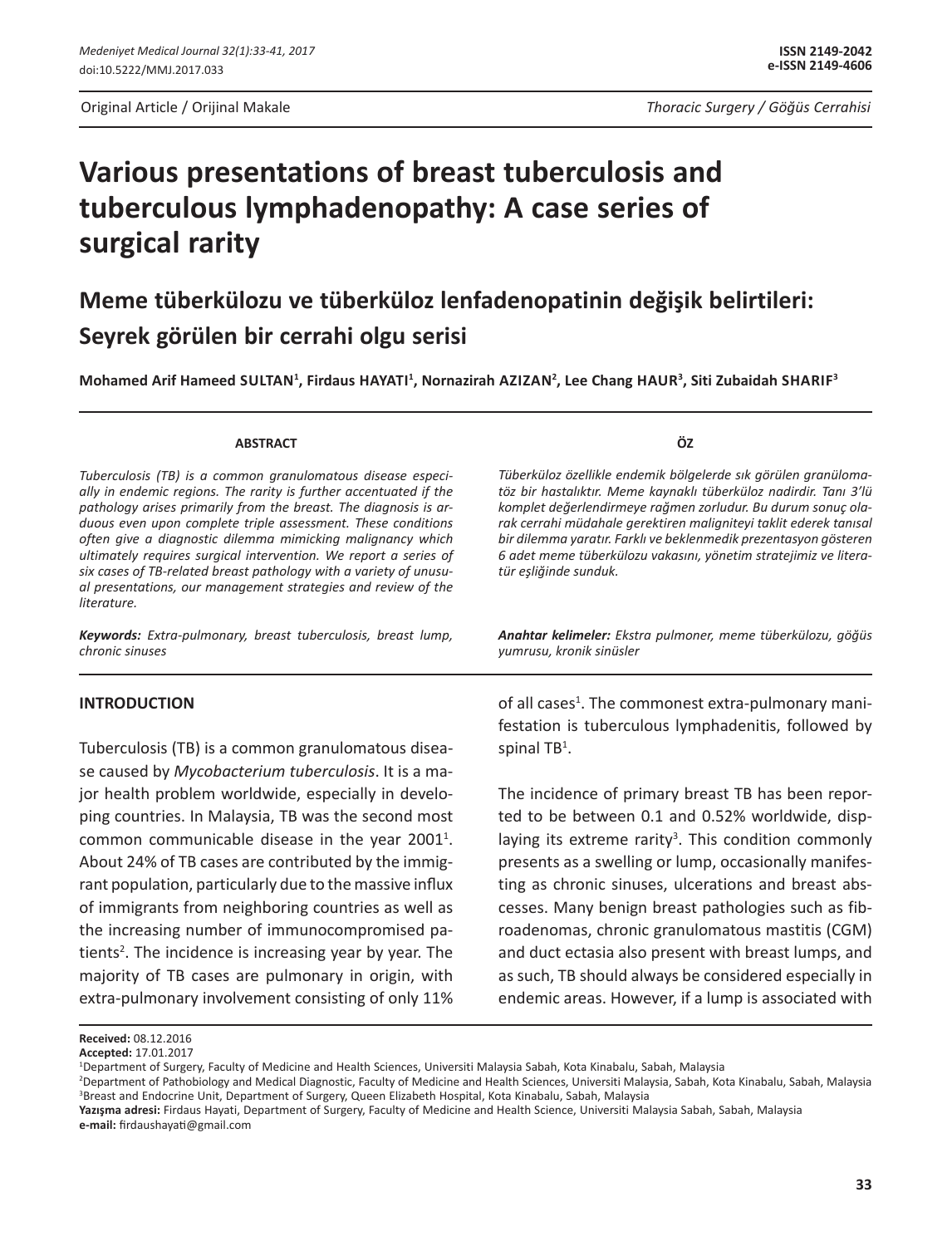Original Article / Orijinal Makale *Thoracic Surgery / Göğüs Cerrahisi*

# **Various presentations of breast tuberculosis and tuberculous lymphadenopathy: A case series of surgical rarity**

## **Meme tüberkülozu ve tüberküloz lenfadenopatinin değişik belirtileri: Seyrek görülen bir cerrahi olgu serisi**

Mohamed Arif Hameed SULTAN<sup>1</sup>, Firdaus HAYATI<sup>1</sup>, Nornazirah AZIZAN<sup>2</sup>, Lee Chang HAUR<sup>3</sup>, Siti Zubaidah SHARIF<sup>3</sup>

#### **ABSTRACT**

*Tuberculosis (TB) is a common granulomatous disease especially in endemic regions. The rarity is further accentuated if the pathology arises primarily from the breast. The diagnosis is arduous even upon complete triple assessment. These conditions often give a diagnostic dilemma mimicking malignancy which ultimately requires surgical intervention. We report a series of six cases of TB-related breast pathology with a variety of unusual presentations, our management strategies and review of the literature.*

*Keywords: Extra-pulmonary, breast tuberculosis, breast lump, chronic sinuses*

#### **INTRODUCTION**

Tuberculosis (TB) is a common granulomatous disease caused by *Mycobacterium tuberculosis*. It is a major health problem worldwide, especially in developing countries. In Malaysia, TB was the second most common communicable disease in the year  $2001^1$ . About 24% of TB cases are contributed by the immigrant population, particularly due to the massive influx of immigrants from neighboring countries as well as the increasing number of immunocompromised patients<sup>2</sup>. The incidence is increasing year by year. The majority of TB cases are pulmonary in origin, with extra-pulmonary involvement consisting of only 11%

**ÖZ**

*Tüberküloz özellikle endemik bölgelerde sık görülen granülomatöz bir hastalıktır. Meme kaynaklı tüberküloz nadirdir. Tanı 3'lü komplet değerlendirmeye rağmen zorludur. Bu durum sonuç olarak cerrahi müdahale gerektiren maligniteyi taklit ederek tanısal bir dilemma yaratır. Farklı ve beklenmedik prezentasyon gösteren 6 adet meme tüberkülozu vakasını, yönetim stratejimiz ve literatür eşliğinde sunduk.*

*Anahtar kelimeler: Ekstra pulmoner, meme tüberkülozu, göğüs yumrusu, kronik sinüsler*

of all cases<sup>1</sup>. The commonest extra-pulmonary manifestation is tuberculous lymphadenitis, followed by spinal TB<sup>1</sup>.

The incidence of primary breast TB has been reported to be between 0.1 and 0.52% worldwide, displaying its extreme rarity<sup>3</sup>. This condition commonly presents as a swelling or lump, occasionally manifesting as chronic sinuses, ulcerations and breast abscesses. Many benign breast pathologies such as fibroadenomas, chronic granulomatous mastitis (CGM) and duct ectasia also present with breast lumps, and as such, TB should always be considered especially in endemic areas. However, if a lump is associated with

**Received:** 08.12.2016

**Accepted:** 17.01.2017<br><sup>1</sup>Department of Surgery, Faculty of Medicine and Health Sciences, Universiti Malaysia Sabah, Kota Kinabalu, Sabah, Malaysia

<sup>2</sup> Department of Pathobiology and Medical Diagnostic, Faculty of Medicine and Health Sciences, Universiti Malaysia, Sabah, Kota Kinabalu, Sabah, Malaysia 3 Breast and Endocrine Unit, Department of Surgery, Queen Elizabeth Hospital, Kota Kinabalu, Sabah, Malaysia

**Yazışma adresi:** Firdaus Hayati, Department of Surgery, Faculty of Medicine and Health Science, Universiti Malaysia Sabah, Sabah, Malaysia **e-mail:** firdaushayati@gmail.com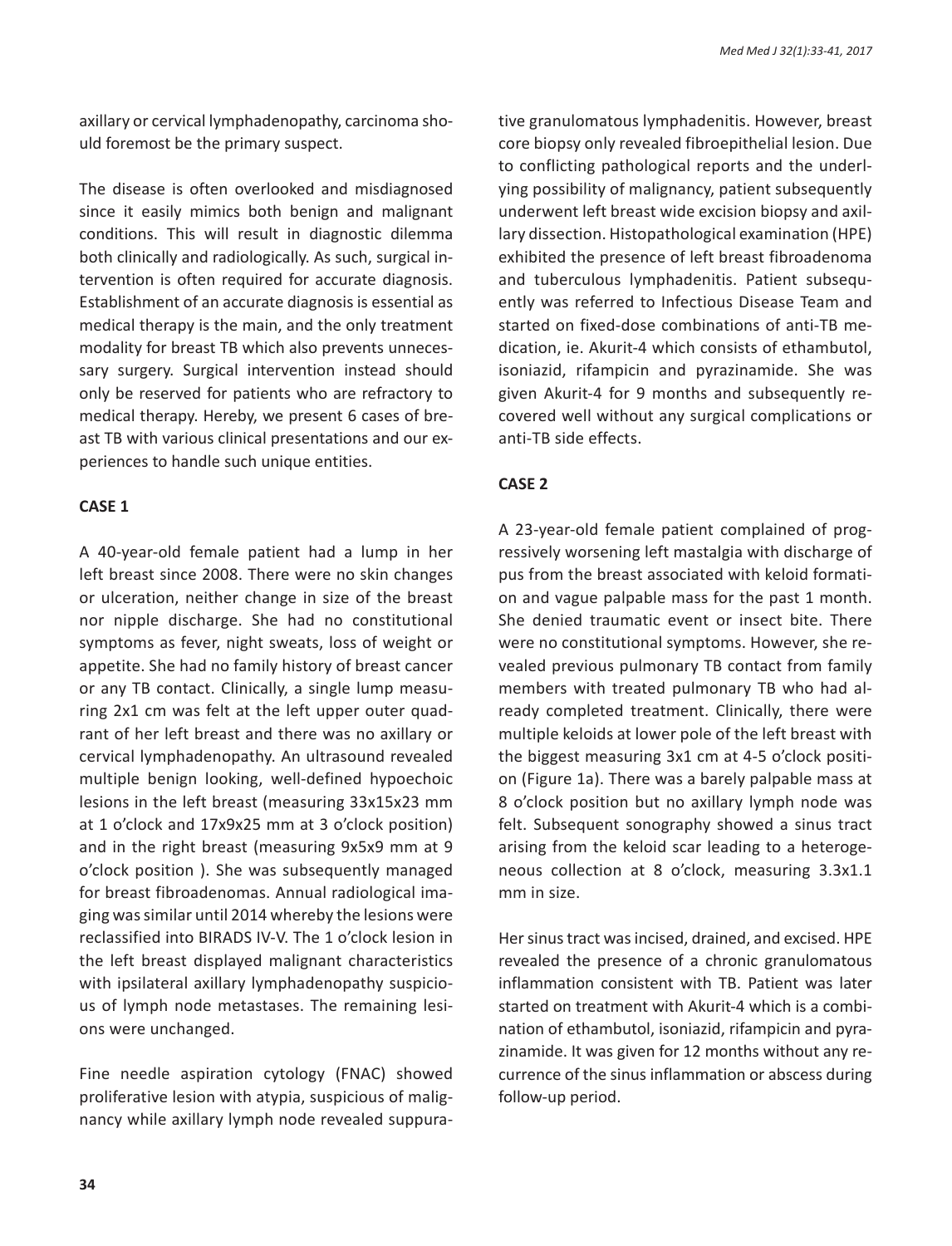axillary or cervical lymphadenopathy, carcinoma should foremost be the primary suspect.

The disease is often overlooked and misdiagnosed since it easily mimics both benign and malignant conditions. This will result in diagnostic dilemma both clinically and radiologically. As such, surgical intervention is often required for accurate diagnosis. Establishment of an accurate diagnosis is essential as medical therapy is the main, and the only treatment modality for breast TB which also prevents unnecessary surgery. Surgical intervention instead should only be reserved for patients who are refractory to medical therapy. Hereby, we present 6 cases of breast TB with various clinical presentations and our experiences to handle such unique entities.

## **CASE 1**

A 40-year-old female patient had a lump in her left breast since 2008. There were no skin changes or ulceration, neither change in size of the breast nor nipple discharge. She had no constitutional symptoms as fever, night sweats, loss of weight or appetite. She had no family history of breast cancer or any TB contact. Clinically, a single lump measuring 2x1 cm was felt at the left upper outer quadrant of her left breast and there was no axillary or cervical lymphadenopathy. An ultrasound revealed multiple benign looking, well-defined hypoechoic lesions in the left breast (measuring 33x15x23 mm at 1 o'clock and 17x9x25 mm at 3 o'clock position) and in the right breast (measuring 9x5x9 mm at 9 o'clock position ). She was subsequently managed for breast fibroadenomas. Annual radiological imaging was similar until 2014 whereby the lesions were reclassified into BIRADS IV-V. The 1 o'clock lesion in the left breast displayed malignant characteristics with ipsilateral axillary lymphadenopathy suspicious of lymph node metastases. The remaining lesions were unchanged.

Fine needle aspiration cytology (FNAC) showed proliferative lesion with atypia, suspicious of malignancy while axillary lymph node revealed suppurative granulomatous lymphadenitis. However, breast core biopsy only revealed fibroepithelial lesion. Due to conflicting pathological reports and the underlying possibility of malignancy, patient subsequently underwent left breast wide excision biopsy and axillary dissection. Histopathological examination (HPE) exhibited the presence of left breast fibroadenoma and tuberculous lymphadenitis. Patient subsequently was referred to Infectious Disease Team and started on fixed-dose combinations of anti-TB medication, ie. Akurit-4 which consists of ethambutol, isoniazid, rifampicin and pyrazinamide. She was given Akurit-4 for 9 months and subsequently recovered well without any surgical complications or anti-TB side effects.

## **CASE 2**

A 23-year-old female patient complained of progressively worsening left mastalgia with discharge of pus from the breast associated with keloid formation and vague palpable mass for the past 1 month. She denied traumatic event or insect bite. There were no constitutional symptoms. However, she revealed previous pulmonary TB contact from family members with treated pulmonary TB who had already completed treatment. Clinically, there were multiple keloids at lower pole of the left breast with the biggest measuring 3x1 cm at 4-5 o'clock position (Figure 1a). There was a barely palpable mass at 8 o'clock position but no axillary lymph node was felt. Subsequent sonography showed a sinus tract arising from the keloid scar leading to a heterogeneous collection at 8 o'clock, measuring 3.3x1.1 mm in size.

Her sinus tract was incised, drained, and excised. HPE revealed the presence of a chronic granulomatous inflammation consistent with TB. Patient was later started on treatment with Akurit-4 which is a combination of ethambutol, isoniazid, rifampicin and pyrazinamide. It was given for 12 months without any recurrence of the sinus inflammation or abscess during follow-up period.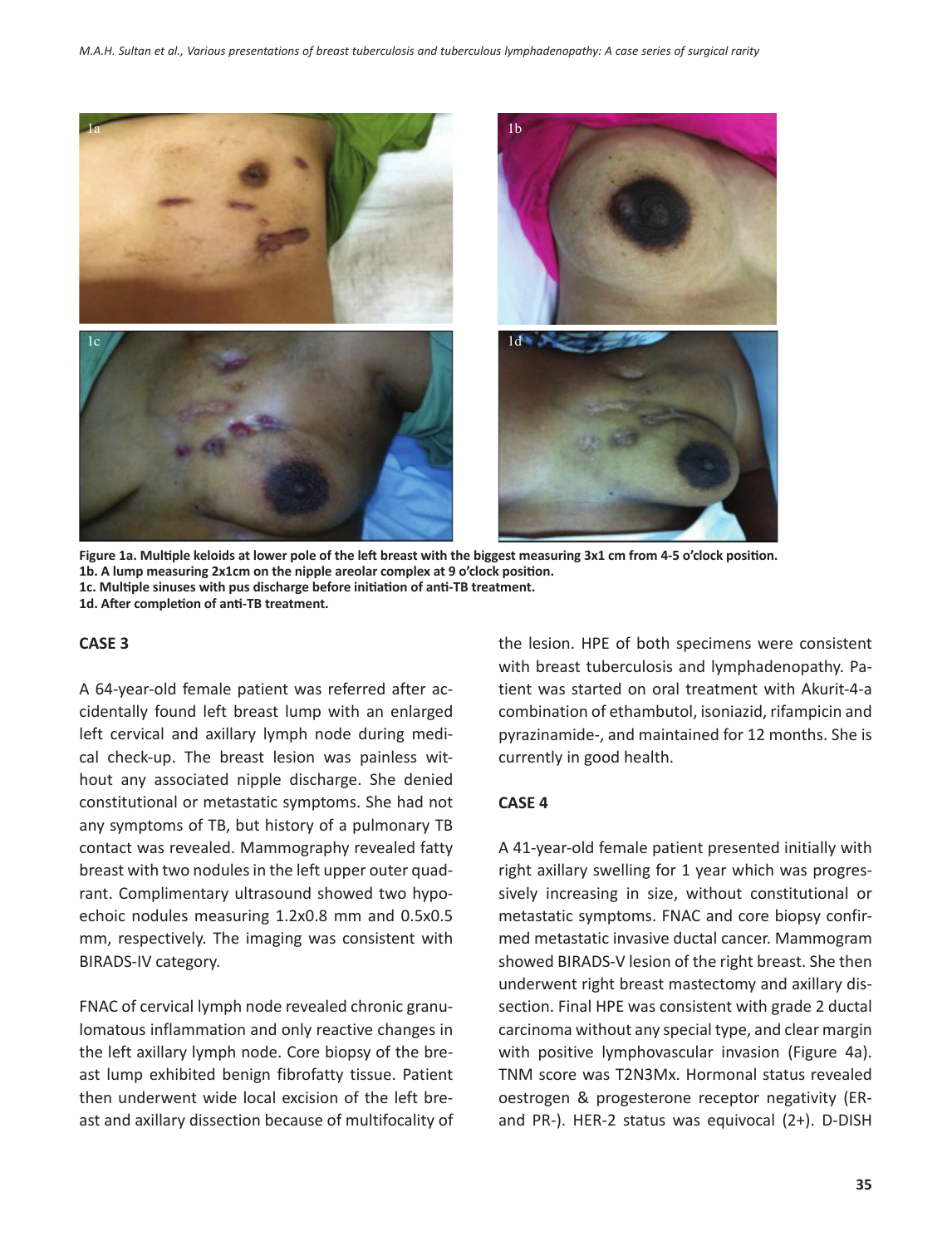

**Figure 1a. Multiple keloids at lower pole of the left breast with the biggest measuring 3x1 cm from 4-5 o'clock position. 1b. A lump measuring 2x1cm on the nipple areolar complex at 9 o'clock position. 1c. Multiple sinuses with pus discharge before initiation of anti-TB treatment. 1d. After completion of anti-TB treatment.**

#### **CASE 3**

A 64-year-old female patient was referred after accidentally found left breast lump with an enlarged left cervical and axillary lymph node during medical check-up. The breast lesion was painless without any associated nipple discharge. She denied constitutional or metastatic symptoms. She had not any symptoms of TB, but history of a pulmonary TB contact was revealed. Mammography revealed fatty breast with two nodules in the left upper outer quadrant. Complimentary ultrasound showed two hypoechoic nodules measuring 1.2x0.8 mm and 0.5x0.5 mm, respectively. The imaging was consistent with BIRADS-IV category.

FNAC of cervical lymph node revealed chronic granulomatous inflammation and only reactive changes in the left axillary lymph node. Core biopsy of the breast lump exhibited benign fibrofatty tissue. Patient then underwent wide local excision of the left breast and axillary dissection because of multifocality of the lesion. HPE of both specimens were consistent with breast tuberculosis and lymphadenopathy. Patient was started on oral treatment with Akurit-4-a combination of ethambutol, isoniazid, rifampicin and pyrazinamide-, and maintained for 12 months. She is currently in good health.

#### **CASE 4**

A 41-year-old female patient presented initially with right axillary swelling for 1 year which was progressively increasing in size, without constitutional or metastatic symptoms. FNAC and core biopsy confirmed metastatic invasive ductal cancer. Mammogram showed BIRADS-V lesion of the right breast. She then underwent right breast mastectomy and axillary dissection. Final HPE was consistent with grade 2 ductal carcinoma without any special type, and clear margin with positive lymphovascular invasion (Figure 4a). TNM score was T2N3Mx. Hormonal status revealed oestrogen & progesterone receptor negativity (ERand PR-). HER-2 status was equivocal (2+). D-DISH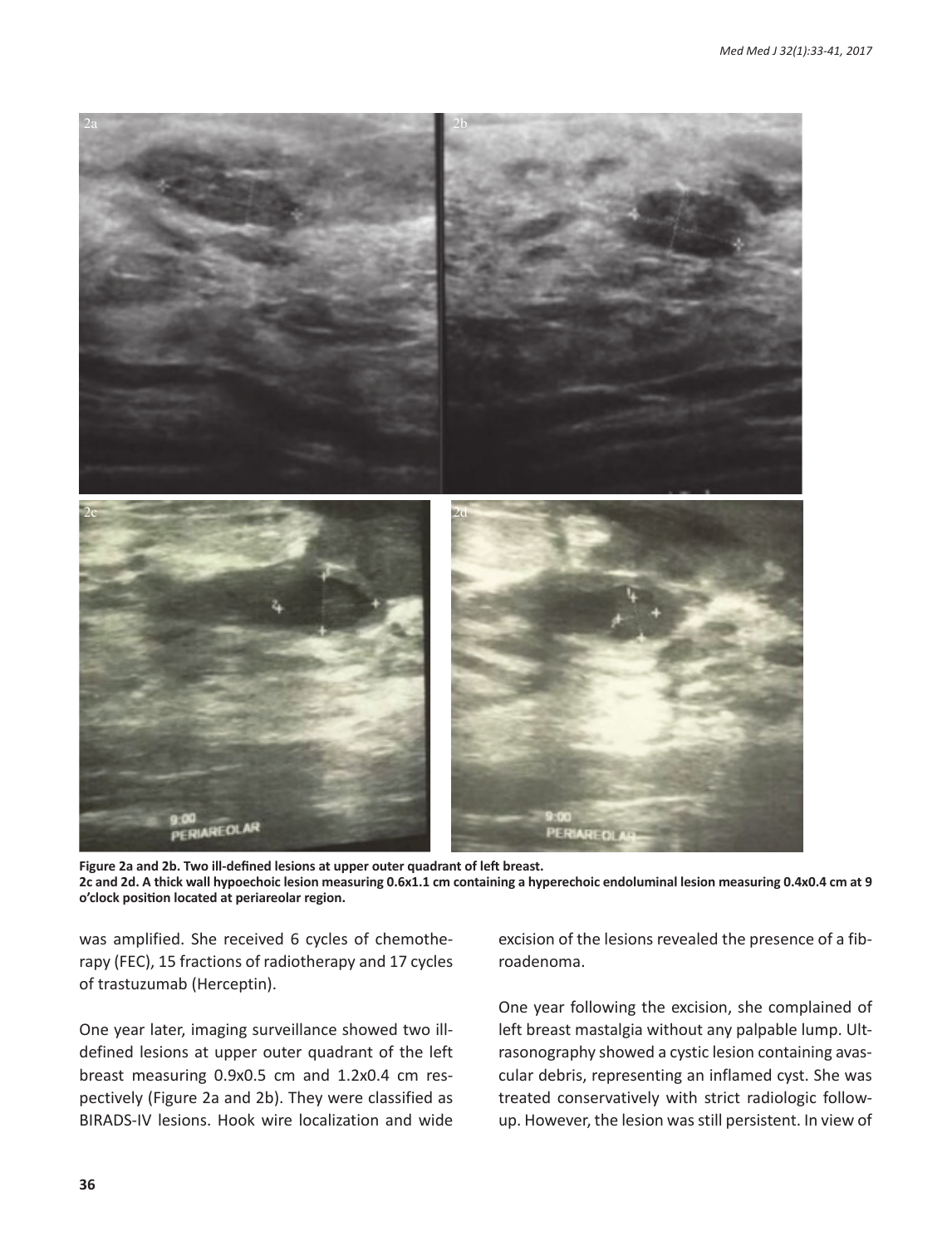

**Figure 2a and 2b. Two ill-defined lesions at upper outer quadrant of left breast. 2c and 2d. A thick wall hypoechoic lesion measuring 0.6x1.1 cm containing a hyperechoic endoluminal lesion measuring 0.4x0.4 cm at 9 o'clock position located at periareolar region.**

was amplified. She received 6 cycles of chemotherapy (FEC), 15 fractions of radiotherapy and 17 cycles of trastuzumab (Herceptin).

One year later, imaging surveillance showed two illdefined lesions at upper outer quadrant of the left breast measuring 0.9x0.5 cm and 1.2x0.4 cm respectively (Figure 2a and 2b). They were classified as BIRADS-IV lesions. Hook wire localization and wide excision of the lesions revealed the presence of a fibroadenoma.

One year following the excision, she complained of left breast mastalgia without any palpable lump. Ultrasonography showed a cystic lesion containing avascular debris, representing an inflamed cyst. She was treated conservatively with strict radiologic followup. However, the lesion was still persistent. In view of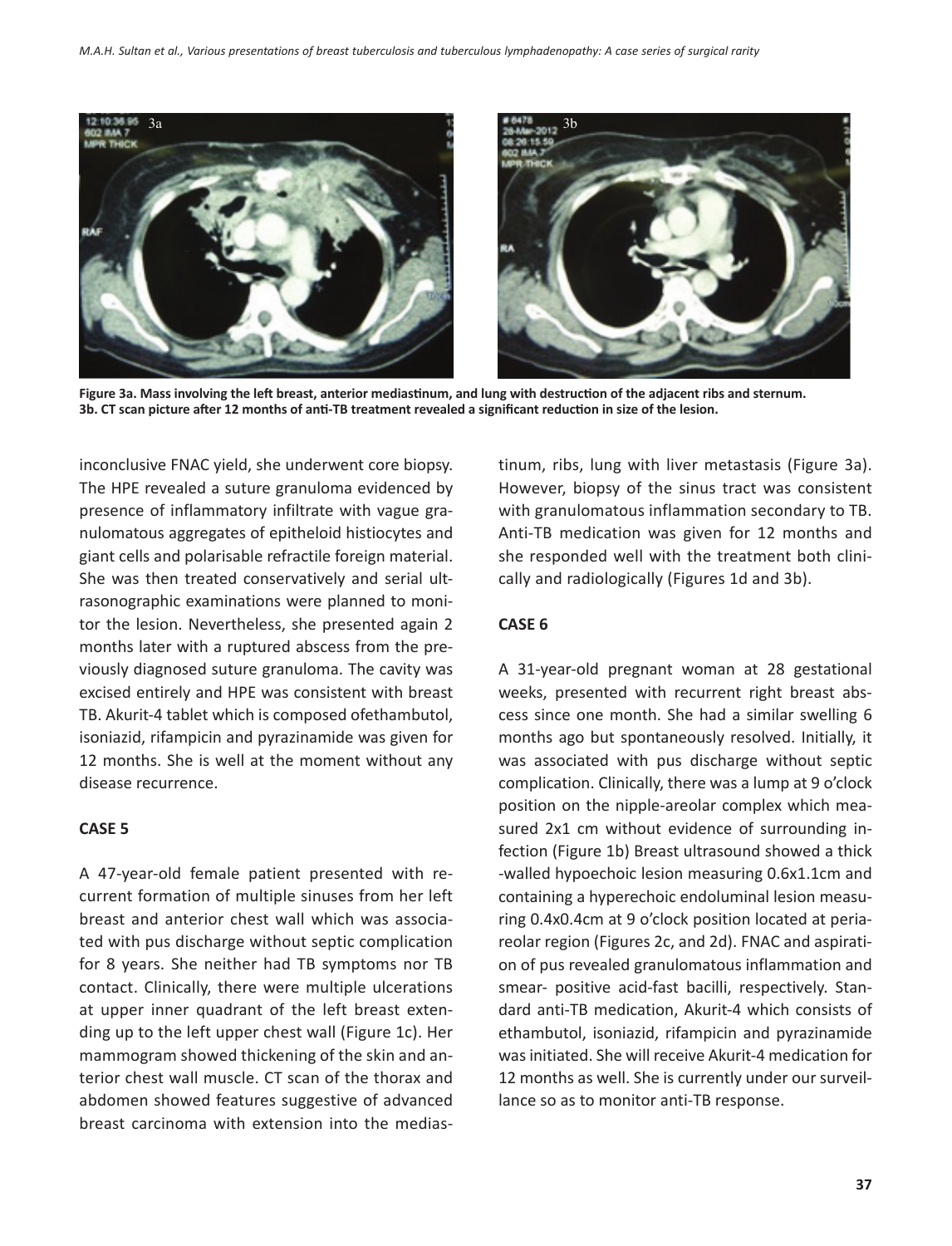

**Figure 3a. Mass involving the left breast, anterior mediastinum, and lung with destruction of the adjacent ribs and sternum. 3b. CT scan picture after 12 months of anti-TB treatment revealed a significant reduction in size of the lesion.**

inconclusive FNAC yield, she underwent core biopsy. The HPE revealed a suture granuloma evidenced by presence of inflammatory infiltrate with vague granulomatous aggregates of epitheloid histiocytes and giant cells and polarisable refractile foreign material. She was then treated conservatively and serial ultrasonographic examinations were planned to monitor the lesion. Nevertheless, she presented again 2 months later with a ruptured abscess from the previously diagnosed suture granuloma. The cavity was excised entirely and HPE was consistent with breast TB. Akurit-4 tablet which is composed ofethambutol, isoniazid, rifampicin and pyrazinamide was given for 12 months. She is well at the moment without any disease recurrence.

#### **CASE 5**

A 47-year-old female patient presented with recurrent formation of multiple sinuses from her left breast and anterior chest wall which was associated with pus discharge without septic complication for 8 years. She neither had TB symptoms nor TB contact. Clinically, there were multiple ulcerations at upper inner quadrant of the left breast extending up to the left upper chest wall (Figure 1c). Her mammogram showed thickening of the skin and anterior chest wall muscle. CT scan of the thorax and abdomen showed features suggestive of advanced breast carcinoma with extension into the mediastinum, ribs, lung with liver metastasis (Figure 3a). However, biopsy of the sinus tract was consistent with granulomatous inflammation secondary to TB. Anti-TB medication was given for 12 months and she responded well with the treatment both clinically and radiologically (Figures 1d and 3b).

### **CASE 6**

A 31-year-old pregnant woman at 28 gestational weeks, presented with recurrent right breast abscess since one month. She had a similar swelling 6 months ago but spontaneously resolved. Initially, it was associated with pus discharge without septic complication. Clinically, there was a lump at 9 o'clock position on the nipple-areolar complex which measured 2x1 cm without evidence of surrounding infection (Figure 1b) Breast ultrasound showed a thick -walled hypoechoic lesion measuring 0.6x1.1cm and containing a hyperechoic endoluminal lesion measuring 0.4x0.4cm at 9 o'clock position located at periareolar region (Figures 2c, and 2d). FNAC and aspiration of pus revealed granulomatous inflammation and smear- positive acid-fast bacilli, respectively. Standard anti-TB medication, Akurit-4 which consists of ethambutol, isoniazid, rifampicin and pyrazinamide was initiated. She will receive Akurit-4 medication for 12 months as well. She is currently under our surveillance so as to monitor anti-TB response.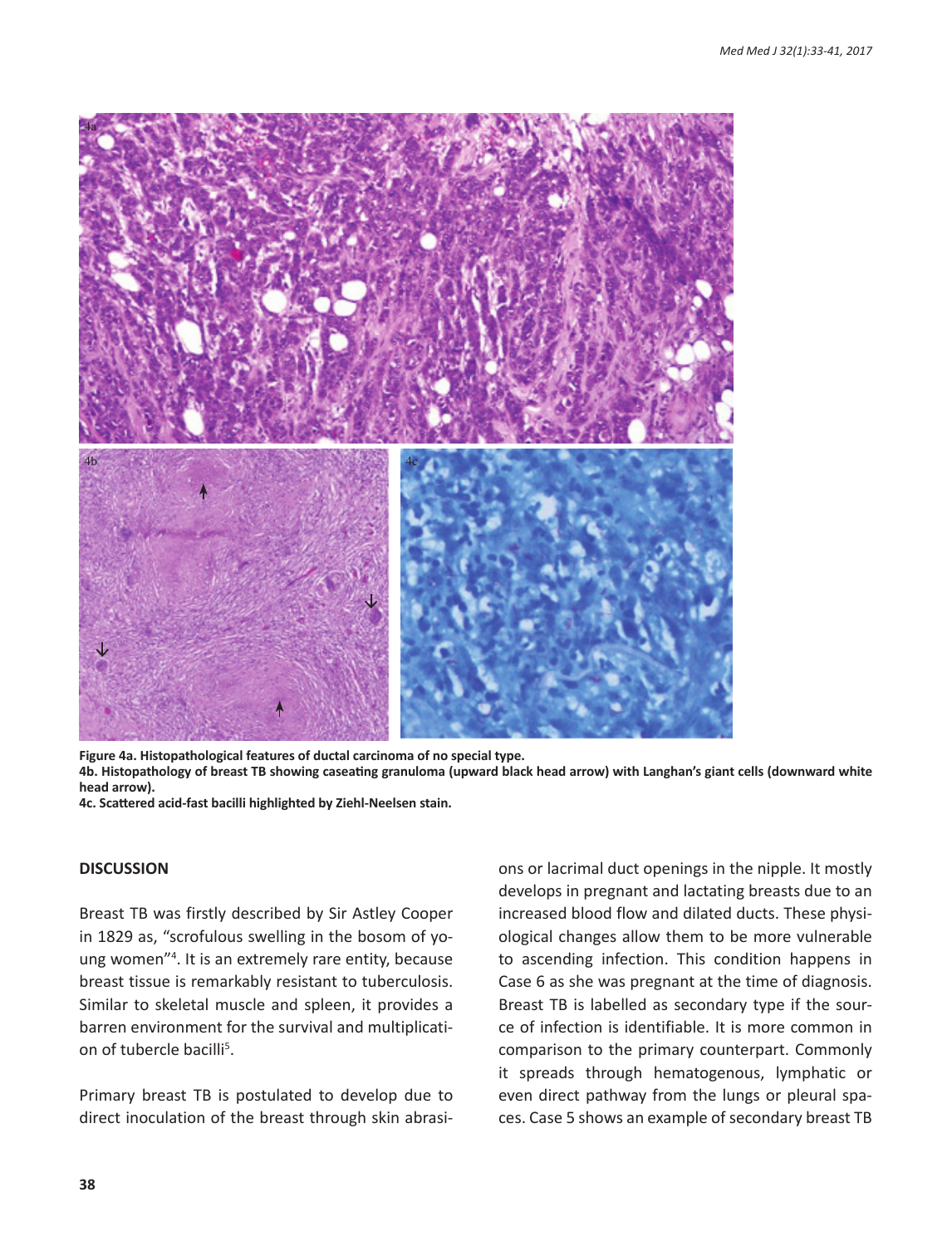

**Figure 4a. Histopathological features of ductal carcinoma of no special type. 4b. Histopathology of breast TB showing caseating granuloma (upward black head arrow) with Langhan's giant cells (downward white head arrow).**

**4c. Scattered acid-fast bacilli highlighted by Ziehl-Neelsen stain.**

#### **DISCUSSION**

Breast TB was firstly described by Sir Astley Cooper in 1829 as, "scrofulous swelling in the bosom of young women"4 . It is an extremely rare entity, because breast tissue is remarkably resistant to tuberculosis. Similar to skeletal muscle and spleen, it provides a barren environment for the survival and multiplication of tubercle bacilli<sup>5</sup>.

Primary breast TB is postulated to develop due to direct inoculation of the breast through skin abrasions or lacrimal duct openings in the nipple. It mostly develops in pregnant and lactating breasts due to an increased blood flow and dilated ducts. These physiological changes allow them to be more vulnerable to ascending infection. This condition happens in Case 6 as she was pregnant at the time of diagnosis. Breast TB is labelled as secondary type if the source of infection is identifiable. It is more common in comparison to the primary counterpart. Commonly it spreads through hematogenous, lymphatic or even direct pathway from the lungs or pleural spaces. Case 5 shows an example of secondary breast TB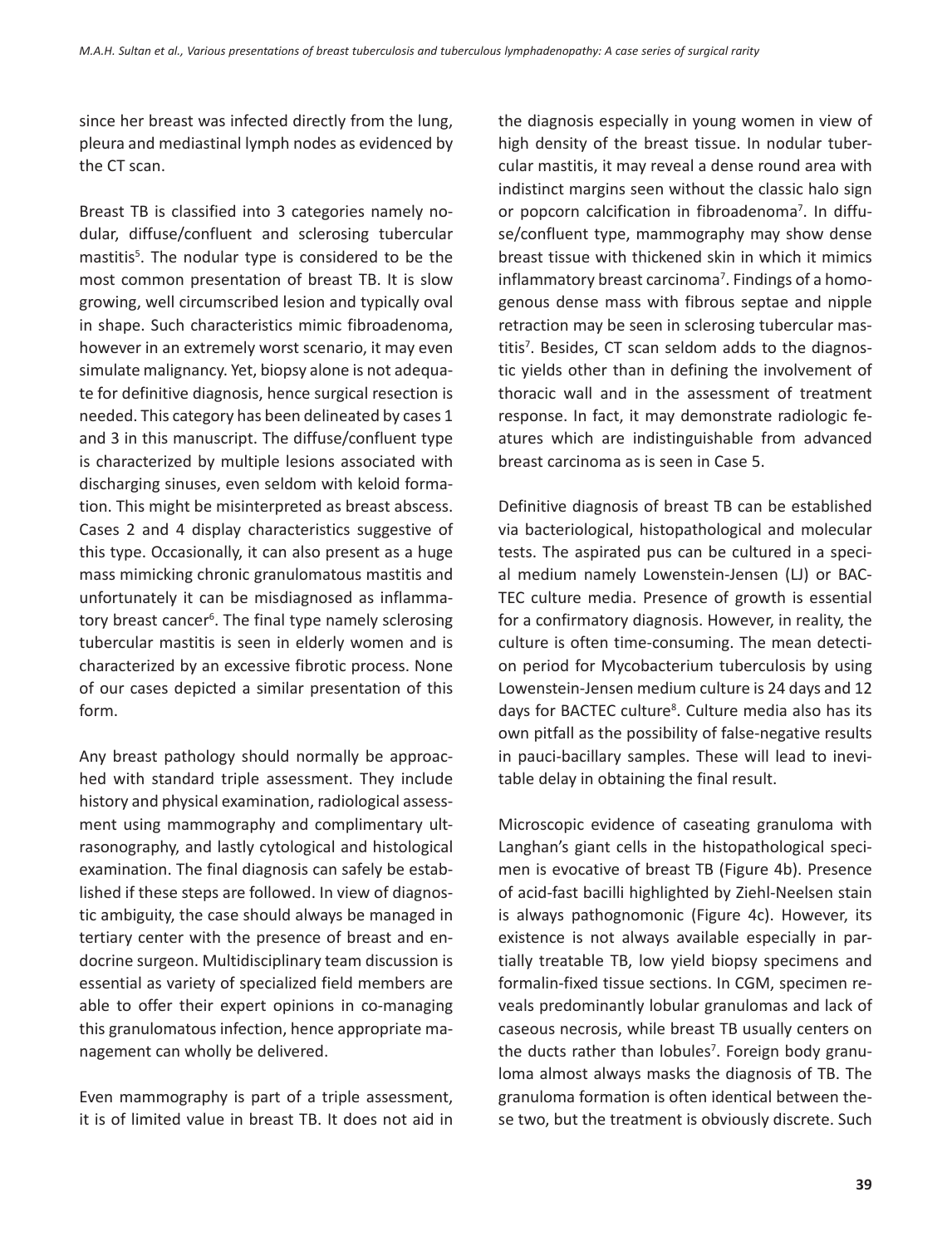since her breast was infected directly from the lung, pleura and mediastinal lymph nodes as evidenced by the CT scan.

Breast TB is classified into 3 categories namely nodular, diffuse/confluent and sclerosing tubercular mastitis<sup>5</sup>. The nodular type is considered to be the most common presentation of breast TB. It is slow growing, well circumscribed lesion and typically oval in shape. Such characteristics mimic fibroadenoma, however in an extremely worst scenario, it may even simulate malignancy. Yet, biopsy alone is not adequate for definitive diagnosis, hence surgical resection is needed. This category has been delineated by cases 1 and 3 in this manuscript. The diffuse/confluent type is characterized by multiple lesions associated with discharging sinuses, even seldom with keloid formation. This might be misinterpreted as breast abscess. Cases 2 and 4 display characteristics suggestive of this type. Occasionally, it can also present as a huge mass mimicking chronic granulomatous mastitis and unfortunately it can be misdiagnosed as inflammatory breast cancer<sup>6</sup>. The final type namely sclerosing tubercular mastitis is seen in elderly women and is characterized by an excessive fibrotic process. None of our cases depicted a similar presentation of this form.

Any breast pathology should normally be approached with standard triple assessment. They include history and physical examination, radiological assessment using mammography and complimentary ultrasonography, and lastly cytological and histological examination. The final diagnosis can safely be established if these steps are followed. In view of diagnostic ambiguity, the case should always be managed in tertiary center with the presence of breast and endocrine surgeon. Multidisciplinary team discussion is essential as variety of specialized field members are able to offer their expert opinions in co-managing this granulomatous infection, hence appropriate management can wholly be delivered.

Even mammography is part of a triple assessment, it is of limited value in breast TB. It does not aid in the diagnosis especially in young women in view of high density of the breast tissue. In nodular tubercular mastitis, it may reveal a dense round area with indistinct margins seen without the classic halo sign or popcorn calcification in fibroadenoma<sup>7</sup>. In diffuse/confluent type, mammography may show dense breast tissue with thickened skin in which it mimics inflammatory breast carcinoma<sup>7</sup>. Findings of a homogenous dense mass with fibrous septae and nipple retraction may be seen in sclerosing tubercular mastitis<sup>7</sup>. Besides, CT scan seldom adds to the diagnostic yields other than in defining the involvement of thoracic wall and in the assessment of treatment response. In fact, it may demonstrate radiologic features which are indistinguishable from advanced breast carcinoma as is seen in Case 5.

Definitive diagnosis of breast TB can be established via bacteriological, histopathological and molecular tests. The aspirated pus can be cultured in a special medium namely Lowenstein-Jensen (LJ) or BAC-TEC culture media. Presence of growth is essential for a confirmatory diagnosis. However, in reality, the culture is often time-consuming. The mean detection period for Mycobacterium tuberculosis by using Lowenstein-Jensen medium culture is 24 days and 12 days for BACTEC culture<sup>8</sup>. Culture media also has its own pitfall as the possibility of false-negative results in pauci-bacillary samples. These will lead to inevitable delay in obtaining the final result.

Microscopic evidence of caseating granuloma with Langhan's giant cells in the histopathological specimen is evocative of breast TB (Figure 4b). Presence of acid-fast bacilli highlighted by Ziehl-Neelsen stain is always pathognomonic (Figure 4c). However, its existence is not always available especially in partially treatable TB, low yield biopsy specimens and formalin-fixed tissue sections. In CGM, specimen reveals predominantly lobular granulomas and lack of caseous necrosis, while breast TB usually centers on the ducts rather than lobules<sup>7</sup>. Foreign body granuloma almost always masks the diagnosis of TB. The granuloma formation is often identical between these two, but the treatment is obviously discrete. Such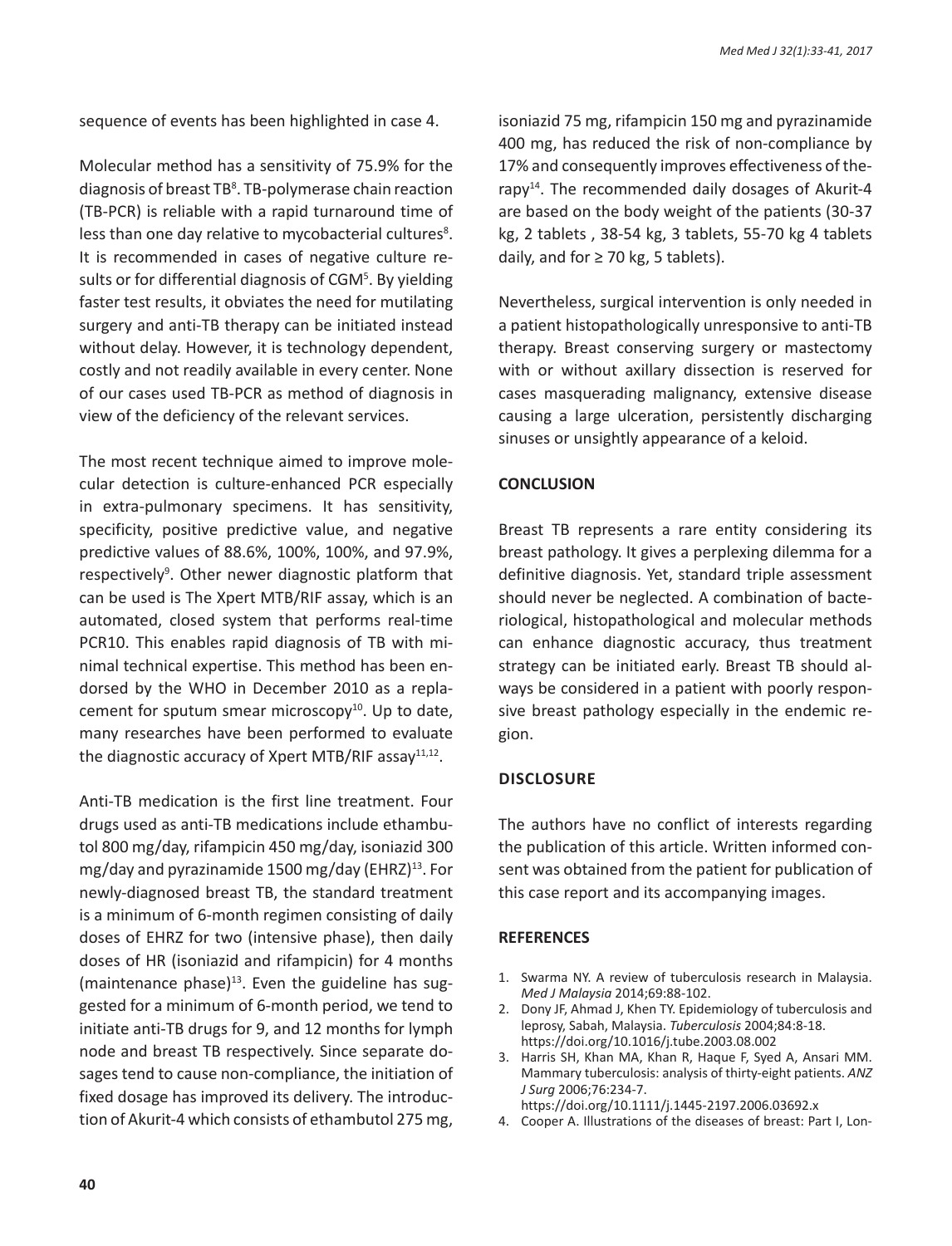sequence of events has been highlighted in case 4.

Molecular method has a sensitivity of 75.9% for the diagnosis of breast TB<sup>8</sup>. TB-polymerase chain reaction (TB-PCR) is reliable with a rapid turnaround time of less than one day relative to mycobacterial cultures<sup>8</sup>. It is recommended in cases of negative culture results or for differential diagnosis of CGM<sup>5</sup>. By yielding faster test results, it obviates the need for mutilating surgery and anti-TB therapy can be initiated instead without delay. However, it is technology dependent, costly and not readily available in every center. None of our cases used TB-PCR as method of diagnosis in view of the deficiency of the relevant services.

The most recent technique aimed to improve molecular detection is culture-enhanced PCR especially in extra-pulmonary specimens. It has sensitivity, specificity, positive predictive value, and negative predictive values of 88.6%, 100%, 100%, and 97.9%, respectively<sup>9</sup>. Other newer diagnostic platform that can be used is The Xpert MTB/RIF assay, which is an automated, closed system that performs real-time PCR10. This enables rapid diagnosis of TB with minimal technical expertise. This method has been endorsed by the WHO in December 2010 as a replacement for sputum smear microscopy $10$ . Up to date, many researches have been performed to evaluate the diagnostic accuracy of Xpert MTB/RIF assay $11,12$ .

Anti-TB medication is the first line treatment. Four drugs used as anti-TB medications include ethambutol 800 mg/day, rifampicin 450 mg/day, isoniazid 300 mg/day and pyrazinamide 1500 mg/day (EHRZ) $^{13}$ . For newly-diagnosed breast TB, the standard treatment is a minimum of 6-month regimen consisting of daily doses of EHRZ for two (intensive phase), then daily doses of HR (isoniazid and rifampicin) for 4 months (maintenance phase) $13$ . Even the guideline has suggested for a minimum of 6-month period, we tend to initiate anti-TB drugs for 9, and 12 months for lymph node and breast TB respectively. Since separate dosages tend to cause non-compliance, the initiation of fixed dosage has improved its delivery. The introduction of Akurit-4 which consists of ethambutol 275 mg, isoniazid 75 mg, rifampicin 150 mg and pyrazinamide 400 mg, has reduced the risk of non-compliance by 17% and consequently improves effectiveness of therapy14. The recommended daily dosages of Akurit-4 are based on the body weight of the patients (30-37 kg, 2 tablets , 38-54 kg, 3 tablets, 55-70 kg 4 tablets daily, and for  $\geq$  70 kg, 5 tablets).

Nevertheless, surgical intervention is only needed in a patient histopathologically unresponsive to anti-TB therapy. Breast conserving surgery or mastectomy with or without axillary dissection is reserved for cases masquerading malignancy, extensive disease causing a large ulceration, persistently discharging sinuses or unsightly appearance of a keloid.

#### **CONCLUSION**

Breast TB represents a rare entity considering its breast pathology. It gives a perplexing dilemma for a definitive diagnosis. Yet, standard triple assessment should never be neglected. A combination of bacteriological, histopathological and molecular methods can enhance diagnostic accuracy, thus treatment strategy can be initiated early. Breast TB should always be considered in a patient with poorly responsive breast pathology especially in the endemic region.

#### **DIsclosure**

The authors have no conflict of interests regarding the publication of this article. Written informed consent was obtained from the patient for publication of this case report and its accompanying images.

#### **REFERENCES**

- 1. Swarma NY. A review of tuberculosis research in Malaysia. *Med J Malaysia* 2014;69:88-102.
- 2. Dony JF, Ahmad J, Khen TY. Epidemiology of tuberculosis and leprosy, Sabah, Malaysia. *Tuberculosis* 2004;84:8-18. https://doi.org/10.1016/j.tube.2003.08.002
- 3. Harris SH, Khan MA, Khan R, Haque F, Syed A, Ansari MM. Mammary tuberculosis: analysis of thirty-eight patients. *ANZ J Surg* 2006;76:234-7.
	- https://doi.org/10.1111/j.1445-2197.2006.03692.x
- 4. Cooper A. Illustrations of the diseases of breast: Part I, Lon-